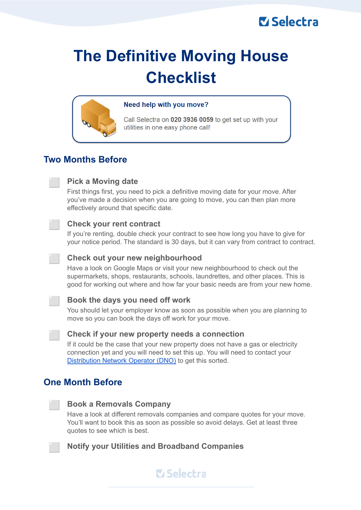## **M** Selectra

# **The Definitive Moving House Checklist**



#### Need help with you move?

Call Selectra on 020 3936 0059 to get set up with your utilities in one easy phone call!

## **Two Months Before**



#### ⬜ **Pick a Moving date**

First things first, you need to pick a definitive moving date for your move. After you've made a decision when you are going to move, you can then plan more effectively around that specific date.

#### ⬜ **Check your rent contract**

If you're renting, double check your contract to see how long you have to give for your notice period. The standard is 30 days, but it can vary from contract to contract.

#### ⬜ **Check out your new neighbourhood**

Have a look on Google Maps or visit your new neighbourhood to check out the supermarkets, shops, restaurants, schools, laundrettes, and other places. This is good for working out where and how far your basic needs are from your new home.

#### ⬜ **Book the days you need off work**

You should let your employer know as soon as possible when you are planning to move so you can book the days off work for your move.



#### ⬜ **Check if your new property needs a connection**

If it could be the case that your new property does not have a gas or electricity connection yet and you will need to set this up. You will need to contact your [Distribution](https://selectra.co.uk/energy/guides/distribution) Network Operator (DNO) to get this sorted.

## **One Month Before**



#### ⬜ **Book a Removals Company**

Have a look at different removals companies and compare quotes for your move. You'll want to book this as soon as possible so avoid delays. Get at least three quotes to see which is best.



#### ⬜ **Notify your Utilities and Broadband Companies**

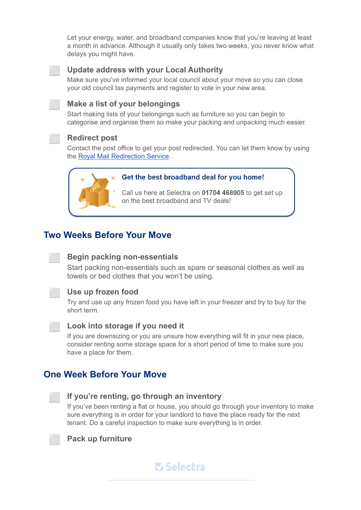Let your energy, water, and broadband companies know that you're leaving at least a month in advance. Although it usually only takes two weeks, you never know what delays you might have.



#### ⬜ **Update address with your Local Authority**

Make sure you've informed your local council about your move so you can close your old council tax payments and register to vote in your new area.

#### ⬜ **Make a list of your belongings**

Start making lists of your belongings such as furniture so you can begin to categorise and organise them so make your packing and unpacking much easier.

#### ⬜ **Redirect post**

Contact the post office to get your post redirected. You can let them know by using the Royal Mail [Redirection](https://www.royalmail.com/personal/receiving-mail/redirection) Service.



#### Get the best broadband deal for you home!

Call us here at Selectra on 01704 468005 to get set up on the best broadband and TV deals!

## **Two Weeks Before Your Move**

#### ⬜ **Begin packing non-essentials**

Start packing non-essentials such as spare or seasonal clothes as well as towels or bed clothes that you won't be using.



#### ⬜ **Use up frozen food**

Try and use up any frozen food you have left in your freezer and try to buy for the short term.



#### ⬜ **Look into storage if you need it**

If you are downsizing or you are unsure how everything will fit in your new place, consider renting some storage space for a short period of time to make sure you have a place for them.

## **One Week Before Your Move**



#### ⬜ **If you're renting, go through an inventory**

If you've been renting a flat or house, you should go through your inventory to make sure everything is in order for your landlord to have the place ready for the next tenant. Do a careful inspection to make sure everything is in order.



⬜ **Pack up furniture**

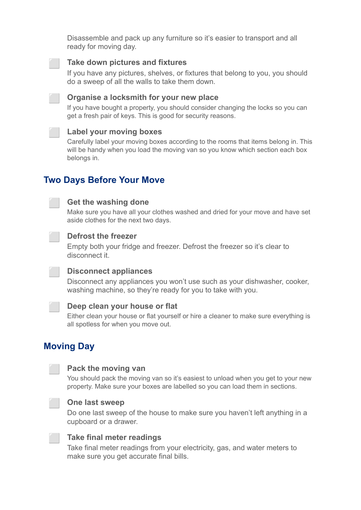Disassemble and pack up any furniture so it's easier to transport and all ready for moving day.



#### ⬜ **Take down pictures and fixtures**

If you have any pictures, shelves, or fixtures that belong to you, you should do a sweep of all the walls to take them down.



#### ⬜ **Organise a locksmith for your new place**

If you have bought a property, you should consider changing the locks so you can get a fresh pair of keys. This is good for security reasons.

#### ⬜ **Label your moving boxes**

Carefully label your moving boxes according to the rooms that items belong in. This will be handy when you load the moving van so you know which section each box belongs in.

## **Two Days Before Your Move**

#### ⬜ **Get the washing done**

Make sure you have all your clothes washed and dried for your move and have set aside clothes for the next two days.



#### ⬜ **Defrost the freezer**

Empty both your fridge and freezer. Defrost the freezer so it's clear to disconnect it.



#### ⬜ **Disconnect appliances**

Disconnect any appliances you won't use such as your dishwasher, cooker, washing machine, so they're ready for you to take with you.



#### ⬜ **Deep clean your house or flat**

Either clean your house or flat yourself or hire a cleaner to make sure everything is all spotless for when you move out.

## **Moving Day**



#### ⬜ **Pack the moving van**

You should pack the moving van so it's easiest to unload when you get to your new property. Make sure your boxes are labelled so you can load them in sections.



#### ⬜ **One last sweep**

Do one last sweep of the house to make sure you haven't left anything in a cupboard or a drawer.



#### ⬜ **Take final meter readings**

Take final meter readings from your electricity, gas, and water meters to make sure you get accurate final bills.